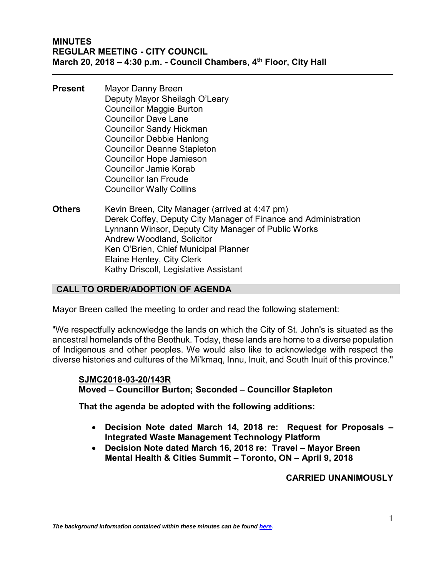- **Present** Mayor Danny Breen Deputy Mayor Sheilagh O'Leary Councillor Maggie Burton Councillor Dave Lane Councillor Sandy Hickman Councillor Debbie Hanlong Councillor Deanne Stapleton Councillor Hope Jamieson Councillor Jamie Korab Councillor Ian Froude Councillor Wally Collins
- **Others** Kevin Breen, City Manager (arrived at 4:47 pm) Derek Coffey, Deputy City Manager of Finance and Administration Lynnann Winsor, Deputy City Manager of Public Works Andrew Woodland, Solicitor Ken O'Brien, Chief Municipal Planner Elaine Henley, City Clerk Kathy Driscoll, Legislative Assistant

## **CALL TO ORDER/ADOPTION OF AGENDA**

Mayor Breen called the meeting to order and read the following statement:

"We respectfully acknowledge the lands on which the City of St. John's is situated as the ancestral homelands of the Beothuk. Today, these lands are home to a diverse population of Indigenous and other peoples. We would also like to acknowledge with respect the diverse histories and cultures of the Mi'kmaq, Innu, Inuit, and South Inuit of this province."

### **SJMC2018-03-20/143R**

**Moved – Councillor Burton; Seconded – Councillor Stapleton**

**That the agenda be adopted with the following additions:**

- **Decision Note dated March 14, 2018 re: Request for Proposals – Integrated Waste Management Technology Platform**
- **Decision Note dated March 16, 2018 re: Travel – Mayor Breen Mental Health & Cities Summit – Toronto, ON – April 9, 2018**

### **CARRIED UNANIMOUSLY**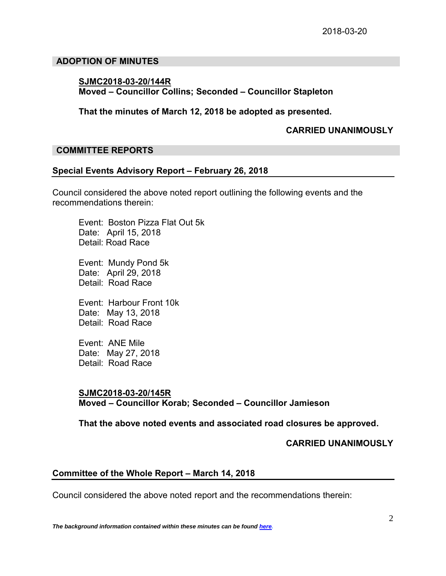### **ADOPTION OF MINUTES**

## **SJMC2018-03-20/144R Moved – Councillor Collins; Seconded – Councillor Stapleton**

**That the minutes of March 12, 2018 be adopted as presented.**

### **CARRIED UNANIMOUSLY**

## **COMMITTEE REPORTS**

### **Special Events Advisory Report – February 26, 2018**

Council considered the above noted report outlining the following events and the recommendations therein:

Event: Boston Pizza Flat Out 5k Date: April 15, 2018 Detail: Road Race

Event: Mundy Pond 5k Date: April 29, 2018 Detail: Road Race

Event: Harbour Front 10k Date: May 13, 2018 Detail: Road Race

Event: ANE Mile Date: May 27, 2018 Detail: Road Race

## **SJMC2018-03-20/145R**

**Moved – Councillor Korab; Seconded – Councillor Jamieson**

**That the above noted events and associated road closures be approved.**

### **CARRIED UNANIMOUSLY**

### **Committee of the Whole Report – March 14, 2018**

Council considered the above noted report and the recommendations therein: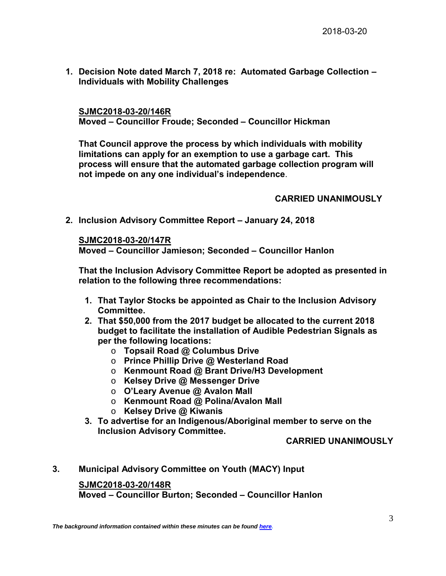**1. Decision Note dated March 7, 2018 re: Automated Garbage Collection – Individuals with Mobility Challenges**

**SJMC2018-03-20/146R Moved – Councillor Froude; Seconded – Councillor Hickman**

**That Council approve the process by which individuals with mobility limitations can apply for an exemption to use a garbage cart. This process will ensure that the automated garbage collection program will not impede on any one individual's independence**.

## **CARRIED UNANIMOUSLY**

**2. Inclusion Advisory Committee Report – January 24, 2018**

**SJMC2018-03-20/147R**

**Moved – Councillor Jamieson; Seconded – Councillor Hanlon**

**That the Inclusion Advisory Committee Report be adopted as presented in relation to the following three recommendations:**

- **1. That Taylor Stocks be appointed as Chair to the Inclusion Advisory Committee.**
- **2. That \$50,000 from the 2017 budget be allocated to the current 2018 budget to facilitate the installation of Audible Pedestrian Signals as per the following locations:**
	- o **Topsail Road @ Columbus Drive**
	- o **Prince Phillip Drive @ Westerland Road**
	- o **Kenmount Road @ Brant Drive/H3 Development**
	- o **Kelsey Drive @ Messenger Drive**
	- o **O'Leary Avenue @ Avalon Mall**
	- o **Kenmount Road @ Polina/Avalon Mall**
	- o **Kelsey Drive @ Kiwanis**
- **3. To advertise for an Indigenous/Aboriginal member to serve on the Inclusion Advisory Committee.**

## **CARRIED UNANIMOUSLY**

**3. Municipal Advisory Committee on Youth (MACY) Input**

**SJMC2018-03-20/148R**

**Moved – Councillor Burton; Seconded – Councillor Hanlon**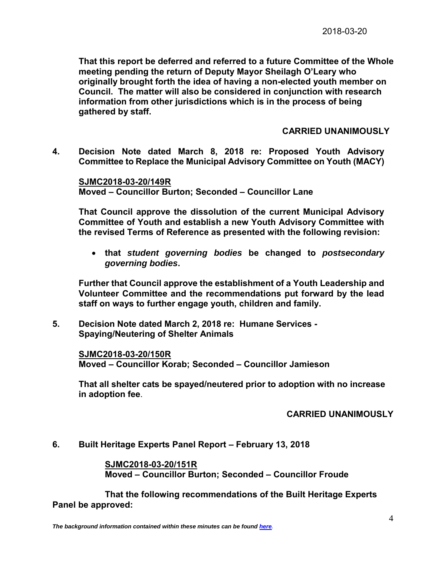**That this report be deferred and referred to a future Committee of the Whole meeting pending the return of Deputy Mayor Sheilagh O'Leary who originally brought forth the idea of having a non-elected youth member on Council. The matter will also be considered in conjunction with research information from other jurisdictions which is in the process of being gathered by staff.** 

### **CARRIED UNANIMOUSLY**

**4. Decision Note dated March 8, 2018 re: Proposed Youth Advisory Committee to Replace the Municipal Advisory Committee on Youth (MACY)**

**SJMC2018-03-20/149R Moved – Councillor Burton; Seconded – Councillor Lane**

**That Council approve the dissolution of the current Municipal Advisory Committee of Youth and establish a new Youth Advisory Committee with the revised Terms of Reference as presented with the following revision:** 

• **that** *student governing bodies* **be changed to** *postsecondary governing bodies***.**

**Further that Council approve the establishment of a Youth Leadership and Volunteer Committee and the recommendations put forward by the lead staff on ways to further engage youth, children and family.** 

**5. Decision Note dated March 2, 2018 re: Humane Services - Spaying/Neutering of Shelter Animals**

**SJMC2018-03-20/150R Moved – Councillor Korab; Seconded – Councillor Jamieson**

**That all shelter cats be spayed/neutered prior to adoption with no increase in adoption fee**.

### **CARRIED UNANIMOUSLY**

**6. Built Heritage Experts Panel Report – February 13, 2018**

**SJMC2018-03-20/151R Moved – Councillor Burton; Seconded – Councillor Froude**

**That the following recommendations of the Built Heritage Experts Panel be approved:**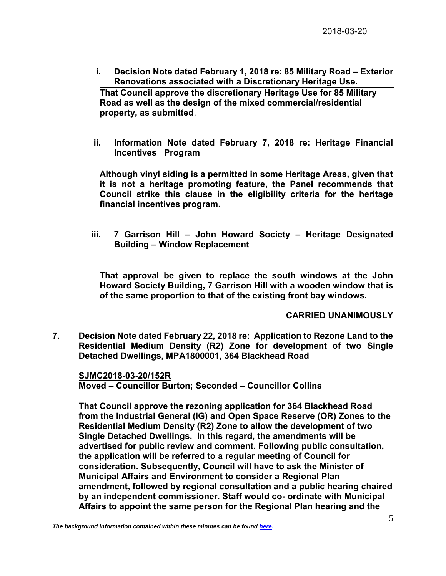**i. Decision Note dated February 1, 2018 re: 85 Military Road – Exterior Renovations associated with a Discretionary Heritage Use. That Council approve the discretionary Heritage Use for 85 Military Road as well as the design of the mixed commercial/residential** 

**property, as submitted**.

**ii. Information Note dated February 7, 2018 re: Heritage Financial Incentives Program**

**Although vinyl siding is a permitted in some Heritage Areas, given that it is not a heritage promoting feature, the Panel recommends that Council strike this clause in the eligibility criteria for the heritage financial incentives program.**

**iii. 7 Garrison Hill – John Howard Society – Heritage Designated Building – Window Replacement**

**That approval be given to replace the south windows at the John Howard Society Building, 7 Garrison Hill with a wooden window that is of the same proportion to that of the existing front bay windows.**

### **CARRIED UNANIMOUSLY**

**7. Decision Note dated February 22, 2018 re: Application to Rezone Land to the Residential Medium Density (R2) Zone for development of two Single Detached Dwellings, MPA1800001, 364 Blackhead Road**

**SJMC2018-03-20/152R Moved – Councillor Burton; Seconded – Councillor Collins**

**That Council approve the rezoning application for 364 Blackhead Road from the Industrial General (IG) and Open Space Reserve (OR) Zones to the Residential Medium Density (R2) Zone to allow the development of two Single Detached Dwellings. In this regard, the amendments will be advertised for public review and comment. Following public consultation, the application will be referred to a regular meeting of Council for consideration. Subsequently, Council will have to ask the Minister of Municipal Affairs and Environment to consider a Regional Plan amendment, followed by regional consultation and a public hearing chaired by an independent commissioner. Staff would co- ordinate with Municipal Affairs to appoint the same person for the Regional Plan hearing and the**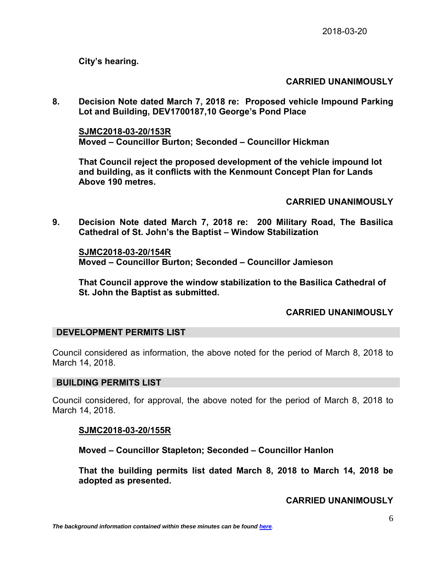**City's hearing.**

# **CARRIED UNANIMOUSLY**

**8. Decision Note dated March 7, 2018 re: Proposed vehicle Impound Parking Lot and Building, DEV1700187,10 George's Pond Place**

**SJMC2018-03-20/153R Moved – Councillor Burton; Seconded – Councillor Hickman**

**That Council reject the proposed development of the vehicle impound lot and building, as it conflicts with the Kenmount Concept Plan for Lands Above 190 metres.**

**CARRIED UNANIMOUSLY**

**9. Decision Note dated March 7, 2018 re: 200 Military Road, The Basilica Cathedral of St. John's the Baptist – Window Stabilization**

**SJMC2018-03-20/154R Moved – Councillor Burton; Seconded – Councillor Jamieson**

**That Council approve the window stabilization to the Basilica Cathedral of St. John the Baptist as submitted.**

## **CARRIED UNANIMOUSLY**

### **DEVELOPMENT PERMITS LIST**

Council considered as information, the above noted for the period of March 8, 2018 to March 14, 2018.

### **BUILDING PERMITS LIST**

Council considered, for approval, the above noted for the period of March 8, 2018 to March 14, 2018.

### **SJMC2018-03-20/155R**

**Moved – Councillor Stapleton; Seconded – Councillor Hanlon**

**That the building permits list dated March 8, 2018 to March 14, 2018 be adopted as presented.**

### **CARRIED UNANIMOUSLY**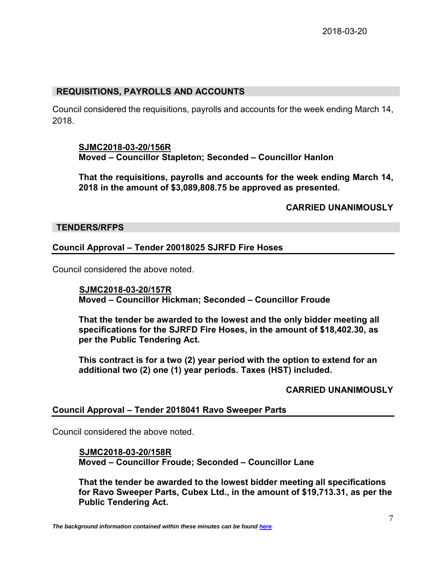## **REQUISITIONS, PAYROLLS AND ACCOUNTS**

Council considered the requisitions, payrolls and accounts for the week ending March 14, 2018.

### **SJMC2018-03-20/156R Moved – Councillor Stapleton; Seconded – Councillor Hanlon**

**That the requisitions, payrolls and accounts for the week ending March 14, 2018 in the amount of \$3,089,808.75 be approved as presented.**

## **CARRIED UNANIMOUSLY**

## **TENDERS/RFPS**

## **Council Approval – Tender 20018025 SJRFD Fire Hoses**

Council considered the above noted.

 **SJMC2018-03-20/157R Moved – Councillor Hickman; Seconded – Councillor Froude**

**That the tender be awarded to the lowest and the only bidder meeting all specifications for the SJRFD Fire Hoses, in the amount of \$18,402.30, as per the Public Tendering Act.** 

**This contract is for a two (2) year period with the option to extend for an additional two (2) one (1) year periods. Taxes (HST) included.** 

## **CARRIED UNANIMOUSLY**

### **Council Approval – Tender 2018041 Ravo Sweeper Parts**

Council considered the above noted.

## **SJMC2018-03-20/158R**

**Moved – Councillor Froude; Seconded – Councillor Lane** 

**That the tender be awarded to the lowest bidder meeting all specifications for Ravo Sweeper Parts, Cubex Ltd., in the amount of \$19,713.31, as per the Public Tendering Act.**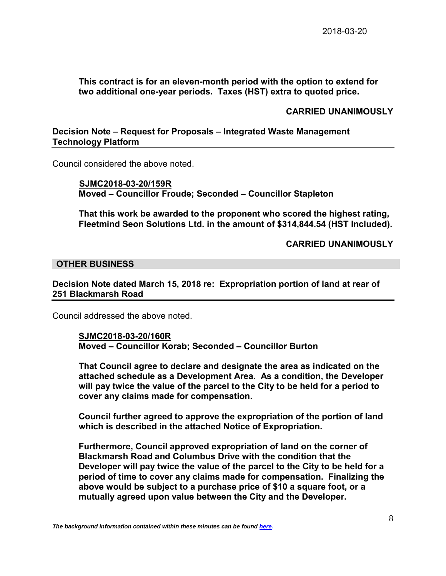## **This contract is for an eleven-month period with the option to extend for two additional one-year periods. Taxes (HST) extra to quoted price.**

### **CARRIED UNANIMOUSLY**

## **Decision Note – Request for Proposals – Integrated Waste Management Technology Platform**

Council considered the above noted.

 **SJMC2018-03-20/159R Moved – Councillor Froude; Seconded – Councillor Stapleton**

**That this work be awarded to the proponent who scored the highest rating, Fleetmind Seon Solutions Ltd. in the amount of \$314,844.54 (HST Included).**

**CARRIED UNANIMOUSLY**

### **OTHER BUSINESS**

**Decision Note dated March 15, 2018 re: Expropriation portion of land at rear of 251 Blackmarsh Road**

Council addressed the above noted.

### **SJMC2018-03-20/160R Moved – Councillor Korab; Seconded – Councillor Burton**

**That Council agree to declare and designate the area as indicated on the attached schedule as a Development Area. As a condition, the Developer will pay twice the value of the parcel to the City to be held for a period to cover any claims made for compensation.**

**Council further agreed to approve the expropriation of the portion of land which is described in the attached Notice of Expropriation.**

**Furthermore, Council approved expropriation of land on the corner of Blackmarsh Road and Columbus Drive with the condition that the Developer will pay twice the value of the parcel to the City to be held for a period of time to cover any claims made for compensation. Finalizing the above would be subject to a purchase price of \$10 a square foot, or a mutually agreed upon value between the City and the Developer.**